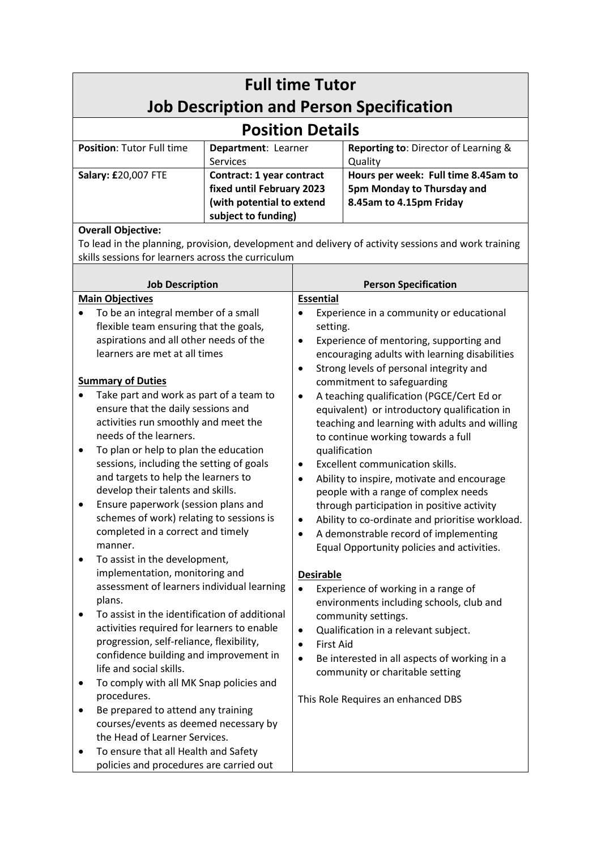| <b>Full time Tutor</b><br><b>Job Description and Person Specification</b>                                                                                                                                                                                                                                                                                                                                                                                                                                                                                                                                                                                                                                                                                                                                                                                                                                                                                                                                                                                                                                                                                                                                                                                              |                                                                                                            |                                                                                                                                                                      |                                                                                                                                                                                                                                                                                                                                                                                                                                                                                                                                                                                                                                                                                                                                                                                                                                                                                                                                                                                                                |  |
|------------------------------------------------------------------------------------------------------------------------------------------------------------------------------------------------------------------------------------------------------------------------------------------------------------------------------------------------------------------------------------------------------------------------------------------------------------------------------------------------------------------------------------------------------------------------------------------------------------------------------------------------------------------------------------------------------------------------------------------------------------------------------------------------------------------------------------------------------------------------------------------------------------------------------------------------------------------------------------------------------------------------------------------------------------------------------------------------------------------------------------------------------------------------------------------------------------------------------------------------------------------------|------------------------------------------------------------------------------------------------------------|----------------------------------------------------------------------------------------------------------------------------------------------------------------------|----------------------------------------------------------------------------------------------------------------------------------------------------------------------------------------------------------------------------------------------------------------------------------------------------------------------------------------------------------------------------------------------------------------------------------------------------------------------------------------------------------------------------------------------------------------------------------------------------------------------------------------------------------------------------------------------------------------------------------------------------------------------------------------------------------------------------------------------------------------------------------------------------------------------------------------------------------------------------------------------------------------|--|
| <b>Position Details</b>                                                                                                                                                                                                                                                                                                                                                                                                                                                                                                                                                                                                                                                                                                                                                                                                                                                                                                                                                                                                                                                                                                                                                                                                                                                |                                                                                                            |                                                                                                                                                                      |                                                                                                                                                                                                                                                                                                                                                                                                                                                                                                                                                                                                                                                                                                                                                                                                                                                                                                                                                                                                                |  |
| Position: Tutor Full time                                                                                                                                                                                                                                                                                                                                                                                                                                                                                                                                                                                                                                                                                                                                                                                                                                                                                                                                                                                                                                                                                                                                                                                                                                              | Department: Learner<br><b>Services</b>                                                                     |                                                                                                                                                                      | Reporting to: Director of Learning &<br>Quality                                                                                                                                                                                                                                                                                                                                                                                                                                                                                                                                                                                                                                                                                                                                                                                                                                                                                                                                                                |  |
| Salary: £20,007 FTE                                                                                                                                                                                                                                                                                                                                                                                                                                                                                                                                                                                                                                                                                                                                                                                                                                                                                                                                                                                                                                                                                                                                                                                                                                                    | Contract: 1 year contract<br>fixed until February 2023<br>(with potential to extend<br>subject to funding) |                                                                                                                                                                      | Hours per week: Full time 8.45am to<br>5pm Monday to Thursday and<br>8.45am to 4.15pm Friday                                                                                                                                                                                                                                                                                                                                                                                                                                                                                                                                                                                                                                                                                                                                                                                                                                                                                                                   |  |
| <b>Overall Objective:</b><br>To lead in the planning, provision, development and delivery of activity sessions and work training<br>skills sessions for learners across the curriculum                                                                                                                                                                                                                                                                                                                                                                                                                                                                                                                                                                                                                                                                                                                                                                                                                                                                                                                                                                                                                                                                                 |                                                                                                            |                                                                                                                                                                      |                                                                                                                                                                                                                                                                                                                                                                                                                                                                                                                                                                                                                                                                                                                                                                                                                                                                                                                                                                                                                |  |
|                                                                                                                                                                                                                                                                                                                                                                                                                                                                                                                                                                                                                                                                                                                                                                                                                                                                                                                                                                                                                                                                                                                                                                                                                                                                        |                                                                                                            | <b>Person Specification</b>                                                                                                                                          |                                                                                                                                                                                                                                                                                                                                                                                                                                                                                                                                                                                                                                                                                                                                                                                                                                                                                                                                                                                                                |  |
| <b>Job Description</b><br><b>Main Objectives</b><br>To be an integral member of a small<br>flexible team ensuring that the goals,<br>aspirations and all other needs of the<br>learners are met at all times<br><b>Summary of Duties</b><br>Take part and work as part of a team to<br>ensure that the daily sessions and<br>activities run smoothly and meet the<br>needs of the learners.<br>To plan or help to plan the education<br>٠<br>sessions, including the setting of goals<br>and targets to help the learners to<br>develop their talents and skills.<br>Ensure paperwork (session plans and<br>schemes of work) relating to sessions is<br>completed in a correct and timely<br>manner.<br>To assist in the development,<br>implementation, monitoring and<br>assessment of learners individual learning<br>plans.<br>To assist in the identification of additional<br>activities required for learners to enable<br>progression, self-reliance, flexibility,<br>confidence building and improvement in<br>life and social skills.<br>To comply with all MK Snap policies and<br>٠<br>procedures.<br>Be prepared to attend any training<br>courses/events as deemed necessary by<br>the Head of Learner Services.<br>To ensure that all Health and Safety |                                                                                                            | <b>Essential</b><br>setting.<br>٠<br>$\bullet$<br>$\bullet$<br>$\bullet$<br>$\bullet$<br><b>Desirable</b><br>$\bullet$<br><b>First Aid</b><br>$\bullet$<br>$\bullet$ | Experience in a community or educational<br>Experience of mentoring, supporting and<br>encouraging adults with learning disabilities<br>Strong levels of personal integrity and<br>commitment to safeguarding<br>A teaching qualification (PGCE/Cert Ed or<br>equivalent) or introductory qualification in<br>teaching and learning with adults and willing<br>to continue working towards a full<br>qualification<br>Excellent communication skills.<br>Ability to inspire, motivate and encourage<br>people with a range of complex needs<br>through participation in positive activity<br>Ability to co-ordinate and prioritise workload.<br>A demonstrable record of implementing<br>Equal Opportunity policies and activities.<br>Experience of working in a range of<br>environments including schools, club and<br>community settings.<br>Qualification in a relevant subject.<br>Be interested in all aspects of working in a<br>community or charitable setting<br>This Role Requires an enhanced DBS |  |

policies and procedures are carried out